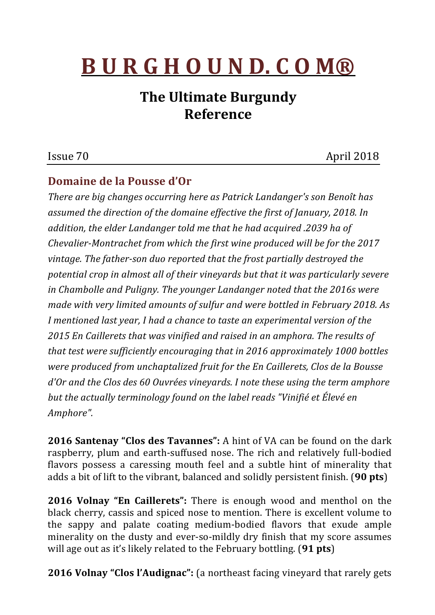# **B U R G H O U N D. C O M®**

# **The Ultimate Burgundy Reference**

## Issue 70 April 2018

### **Domaine de la Pousse d'Or**

*There are big changes occurring here as Patrick Landanger's son Benoît has* assumed the direction of the domaine effective the first of January, 2018. In addition, the elder Landanger told me that he had acquired .2039 ha of *Chevalier-Montrachet from which the first wine produced will be for the 2017* vintage. The father-son duo reported that the frost partially destroyed the potential crop in almost all of their vineyards but that it was particularly severe in Chambolle and Puligny. The younger Landanger noted that the 2016s were *made with very limited amounts of sulfur and were bottled in February 2018. As I* mentioned last year, *I* had a chance to taste an experimental version of the 2015 En Caillerets that was vinified and raised in an amphora. The results of *that test were sufficiently encouraging that in 2016 approximately 1000 bottles were produced from unchaptalized fruit for the En Caillerets, Clos de la Bousse d'Or* and the Clos des 60 Ouvrées vineyards. I note these using the term amphore *but the actually terminology found on the label reads "Vinifié et Élevé en Amphore".*

**2016 Santenay "Clos des Tavannes":** A hint of VA can be found on the dark raspberry, plum and earth-suffused nose. The rich and relatively full-bodied flavors possess a caressing mouth feel and a subtle hint of minerality that adds a bit of lift to the vibrant, balanced and solidly persistent finish. (90 pts)

**2016 Volnay "En Caillerets":** There is enough wood and menthol on the black cherry, cassis and spiced nose to mention. There is excellent volume to the sappy and palate coating medium-bodied flavors that exude ample minerality on the dusty and ever-so-mildly dry finish that my score assumes will age out as it's likely related to the February bottling. (91 pts)

**2016 Volnay "Clos l'Audignac":** (a northeast facing vineyard that rarely gets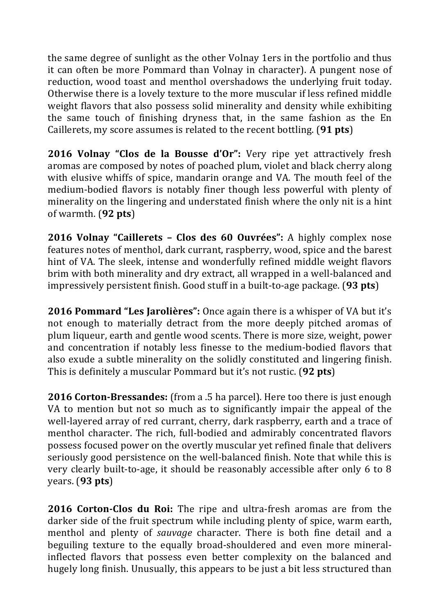the same degree of sunlight as the other Volnay 1ers in the portfolio and thus it can often be more Pommard than Volnay in character). A pungent nose of reduction, wood toast and menthol overshadows the underlying fruit today. Otherwise there is a lovely texture to the more muscular if less refined middle weight flavors that also possess solid minerality and density while exhibiting the same touch of finishing dryness that, in the same fashion as the  $En$ Caillerets, my score assumes is related to the recent bottling. (**91 pts**)

**2016 Volnay "Clos de la Bousse d'Or":** Very ripe yet attractively fresh aromas are composed by notes of poached plum, violet and black cherry along with elusive whiffs of spice, mandarin orange and VA. The mouth feel of the medium-bodied flavors is notably finer though less powerful with plenty of minerality on the lingering and understated finish where the only nit is a hint of warmth. (**92 pts**)

**2016 Volnay "Caillerets - Clos des 60 Ouvrées":** A highly complex nose features notes of menthol, dark currant, raspberry, wood, spice and the barest hint of VA. The sleek, intense and wonderfully refined middle weight flavors brim with both minerality and dry extract, all wrapped in a well-balanced and impressively persistent finish. Good stuff in a built-to-age package. (93 pts)

**2016 Pommard "Les Jarolières":** Once again there is a whisper of VA but it's not enough to materially detract from the more deeply pitched aromas of plum liqueur, earth and gentle wood scents. There is more size, weight, power and concentration if notably less finesse to the medium-bodied flavors that also exude a subtle minerality on the solidly constituted and lingering finish. This is definitely a muscular Pommard but it's not rustic. (92 pts)

**2016 Corton-Bressandes:** (from a .5 ha parcel). Here too there is just enough VA to mention but not so much as to significantly impair the appeal of the well-layered array of red currant, cherry, dark raspberry, earth and a trace of menthol character. The rich, full-bodied and admirably concentrated flavors possess focused power on the overtly muscular yet refined finale that delivers seriously good persistence on the well-balanced finish. Note that while this is very clearly built-to-age, it should be reasonably accessible after only 6 to 8 years. (**93 pts**)

**2016 Corton-Clos du Roi:** The ripe and ultra-fresh aromas are from the darker side of the fruit spectrum while including plenty of spice, warm earth, menthol and plenty of *sauvage* character. There is both fine detail and a beguiling texture to the equally broad-shouldered and even more mineralinflected flavors that possess even better complexity on the balanced and hugely long finish. Unusually, this appears to be just a bit less structured than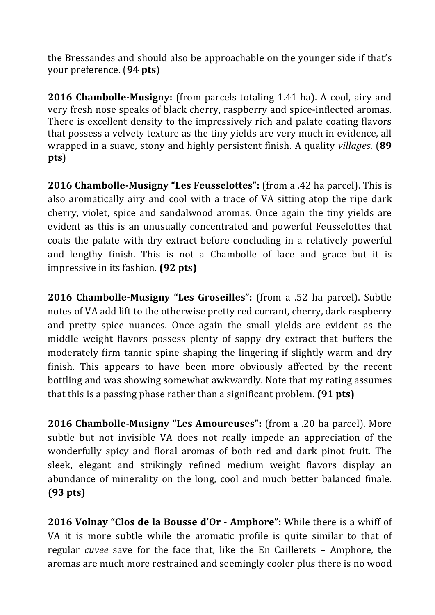the Bressandes and should also be approachable on the younger side if that's your preference. (**94 pts**)

**2016 Chambolle-Musigny:** (from parcels totaling 1.41 ha). A cool, airy and very fresh nose speaks of black cherry, raspberry and spice-inflected aromas. There is excellent density to the impressively rich and palate coating flavors that possess a velvety texture as the tiny yields are very much in evidence, all wrapped in a suave, stony and highly persistent finish. A quality *villages*. (89 **pts**)

**2016 Chambolle-Musigny "Les Feusselottes":** (from a .42 ha parcel). This is also aromatically airy and cool with a trace of VA sitting atop the ripe dark cherry, violet, spice and sandalwood aromas. Once again the tiny yields are evident as this is an unusually concentrated and powerful Feusselottes that coats the palate with dry extract before concluding in a relatively powerful and lengthy finish. This is not a Chambolle of lace and grace but it is impressive in its fashion. **(92 pts)** 

**2016 Chambolle-Musigny "Les Groseilles":** (from a .52 ha parcel). Subtle notes of VA add lift to the otherwise pretty red currant, cherry, dark raspberry and pretty spice nuances. Once again the small yields are evident as the middle weight flavors possess plenty of sappy dry extract that buffers the moderately firm tannic spine shaping the lingering if slightly warm and dry finish. This appears to have been more obviously affected by the recent bottling and was showing somewhat awkwardly. Note that my rating assumes that this is a passing phase rather than a significant problem. **(91 pts)** 

**2016 Chambolle-Musigny "Les Amoureuses":** (from a .20 ha parcel). More subtle but not invisible VA does not really impede an appreciation of the wonderfully spicy and floral aromas of both red and dark pinot fruit. The sleek, elegant and strikingly refined medium weight flavors display an abundance of minerality on the long, cool and much better balanced finale. **(93 pts)**

**2016 Volnay "Clos de la Bousse d'Or - Amphore":** While there is a whiff of VA it is more subtle while the aromatic profile is quite similar to that of regular *cuvee* save for the face that, like the En Caillerets - Amphore, the aromas are much more restrained and seemingly cooler plus there is no wood